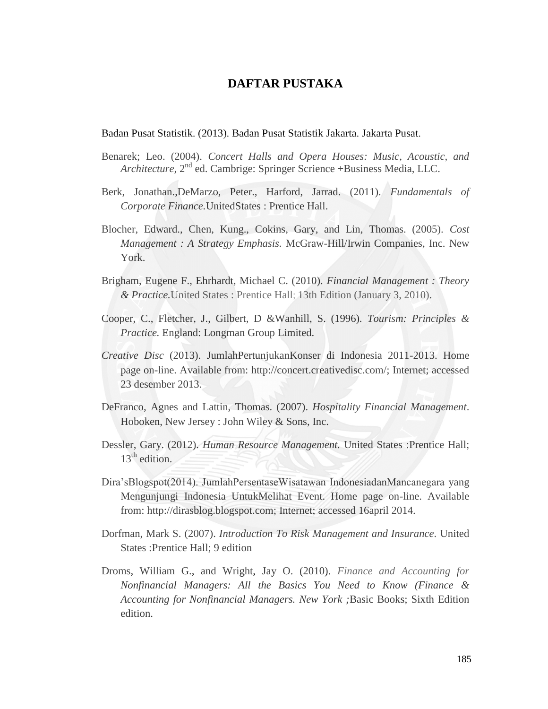## **DAFTAR PUSTAKA**

Badan Pusat Statistik. (2013). Badan Pusat Statistik Jakarta. Jakarta Pusat.

- Benarek; Leo. (2004). *Concert Halls and Opera Houses: Music, Acoustic, and*  Architecture, 2<sup>nd</sup> ed. Cambrige: Springer Scrience +Business Media, LLC.
- Berk, Jonathan.,DeMarzo, Peter., Harford, Jarrad. (2011). *Fundamentals of Corporate Finance.*UnitedStates : Prentice Hall.
- Blocher, Edward., Chen, Kung., Cokins, Gary, and Lin, Thomas. (2005). *Cost Management : A Strategy Emphasis.* McGraw-Hill/Irwin Companies, Inc. New York.
- Brigham, Eugene F., Ehrhardt, Michael C. (2010). *Financial Management : Theory & Practice.*United States : Prentice Hall; 13th Edition (January 3, 2010).
- Cooper, C., Fletcher, J., Gilbert, D &Wanhill, S. (1996)*. Tourism: Principles & Practice.* England: Longman Group Limited.
- *Creative Disc* (2013). JumlahPertunjukanKonser di Indonesia 2011-2013. Home page on-line. Available from: http://concert.creativedisc.com/; Internet; accessed 23 desember 2013.
- DeFranco, Agnes and Lattin, Thomas. (2007). *Hospitality Financial Management*. Hoboken, New Jersey : John Wiley & Sons, Inc.
- Dessler, Gary. (2012). *Human Resource Management.* United States :Prentice Hall;  $13<sup>th</sup>$  edition.
- Dira'sBlogspot(2014). JumlahPersentaseWisatawan IndonesiadanMancanegara yang Mengunjungi Indonesia UntukMelihat Event. Home page on-line. Available from: http://dirasblog.blogspot.com; Internet; accessed 16april 2014.
- Dorfman, Mark S. (2007). *Introduction To Risk Management and Insurance.* United States :Prentice Hall; 9 edition
- Droms, William G., and Wright, Jay O. (2010). *Finance and Accounting for Nonfinancial Managers: All the Basics You Need to Know (Finance & Accounting for Nonfinancial Managers. New York ;*Basic Books; Sixth Edition edition.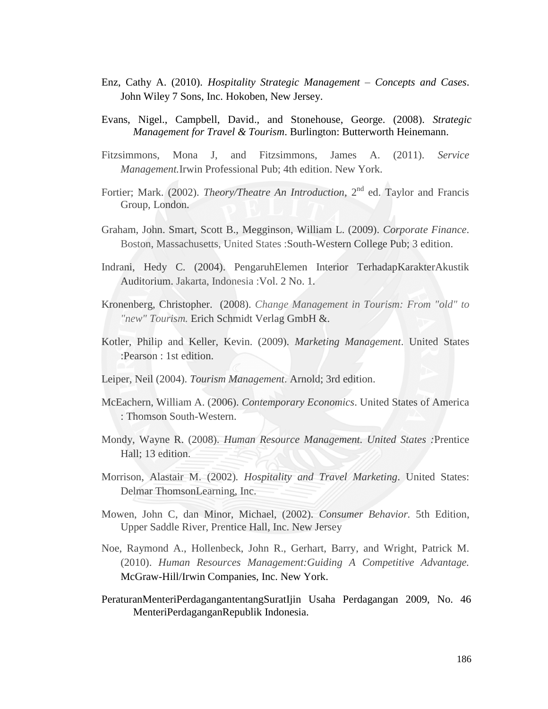- Enz, Cathy A. (2010). *Hospitality Strategic Management – Concepts and Cases*. John Wiley 7 Sons, Inc. Hokoben, New Jersey.
- Evans, Nigel., Campbell, David., and Stonehouse, George. (2008). *Strategic Management for Travel & Tourism*. Burlington: Butterworth Heinemann.
- Fitzsimmons, Mona J, and Fitzsimmons, James A. (2011). *Service Management.*Irwin Professional Pub; 4th edition. New York.
- Fortier; Mark. (2002). *Theory/Theatre An Introduction*, 2<sup>nd</sup> ed. Taylor and Francis Group, London.
- Graham, John. Smart, Scott B., Megginson, William L. (2009). *Corporate Finance*. Boston, Massachusetts, United States :South-Western College Pub; 3 edition.
- Indrani, Hedy C. (2004). PengaruhElemen Interior TerhadapKarakterAkustik Auditorium. Jakarta, Indonesia :Vol. 2 No. 1.
- Kronenberg, Christopher. (2008). *Change Management in Tourism: From "old" to "new" Tourism.* Erich Schmidt Verlag GmbH &.
- Kotler, Philip and Keller, Kevin. (2009). *Marketing Management*. United States :Pearson : 1st edition.
- Leiper, Neil (2004). *Tourism Management*. Arnold; 3rd edition.
- McEachern, William A. (2006). *Contemporary Economics*. United States of America : Thomson South-Western.
- Mondy, Wayne R. (2008). *Human Resource Management. United States :*Prentice Hall; 13 edition.
- Morrison, Alastair M. (2002)*. Hospitality and Travel Marketing*. United States: Delmar ThomsonLearning, Inc.
- Mowen, John C, dan Minor, Michael, (2002). *Consumer Behavior.* 5th Edition, Upper Saddle River, Prentice Hall, Inc. New Jersey
- Noe, Raymond A., Hollenbeck, John R., Gerhart, Barry, and Wright, Patrick M. (2010). *Human Resources Management:Guiding A Competitive Advantage.*  McGraw-Hill/Irwin Companies, Inc. New York.
- PeraturanMenteriPerdagangantentangSuratIjin Usaha Perdagangan 2009, No. 46 MenteriPerdaganganRepublik Indonesia.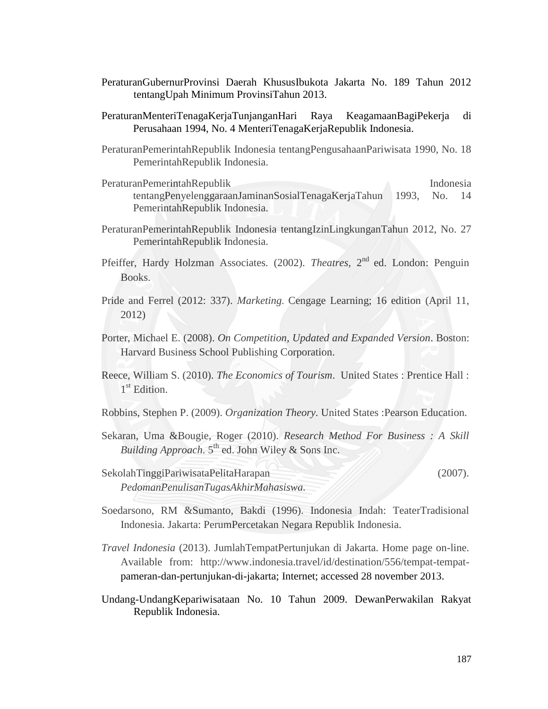- PeraturanGubernurProvinsi Daerah KhususIbukota Jakarta No. 189 Tahun 2012 tentangUpah Minimum ProvinsiTahun 2013.
- PeraturanMenteriTenagaKerjaTunjanganHari Raya KeagamaanBagiPekerja di Perusahaan 1994, No. 4 MenteriTenagaKerjaRepublik Indonesia.
- PeraturanPemerintahRepublik Indonesia tentangPengusahaanPariwisata 1990, No. 18 PemerintahRepublik Indonesia.
- PeraturanPemerintahRepublik Indonesia tentangPenyelenggaraanJaminanSosialTenagaKerjaTahun 1993, No. 14 PemerintahRepublik Indonesia.
- PeraturanPemerintahRepublik Indonesia tentangIzinLingkunganTahun 2012, No. 27 PemerintahRepublik Indonesia.
- Pfeiffer, Hardy Holzman Associates. (2002). *Theatres*, 2<sup>nd</sup> ed. London: Penguin Books.
- Pride and Ferrel (2012: 337). *Marketing*. Cengage Learning; 16 edition (April 11, 2012)
- Porter, Michael E. (2008). *On Competition, Updated and Expanded Version*. Boston: Harvard Business School Publishing Corporation.
- Reece, William S. (2010). *The Economics of Tourism*. United States : Prentice Hall : 1<sup>st</sup> Edition.
- Robbins, Stephen P. (2009). *Organization Theory.* United States :Pearson Education.
- Sekaran, Uma &Bougie, Roger (2010). *Research Method For Business : A Skill Building Approach.* 5<sup>th</sup> ed. John Wiley & Sons Inc.
- SekolahTinggiPariwisataPelitaHarapan (2007). *PedomanPenulisanTugasAkhirMahasiswa.*
- Soedarsono, RM &Sumanto, Bakdi (1996). Indonesia Indah: TeaterTradisional Indonesia. Jakarta: PerumPercetakan Negara Republik Indonesia.
- *Travel Indonesia* (2013). JumlahTempatPertunjukan di Jakarta. Home page on-line. Available from: [http://www.indonesia.travel/id/destination/556/tempat-tempat](http://www.indonesia.travel/id/destination/556/tempat-tempat-pameran-dan-pertunjukan-di-jakarta)[pameran-dan-pertunjukan-di-jakarta;](http://www.indonesia.travel/id/destination/556/tempat-tempat-pameran-dan-pertunjukan-di-jakarta) Internet; accessed 28 november 2013.
- Undang-UndangKepariwisataan No. 10 Tahun 2009. DewanPerwakilan Rakyat Republik Indonesia.